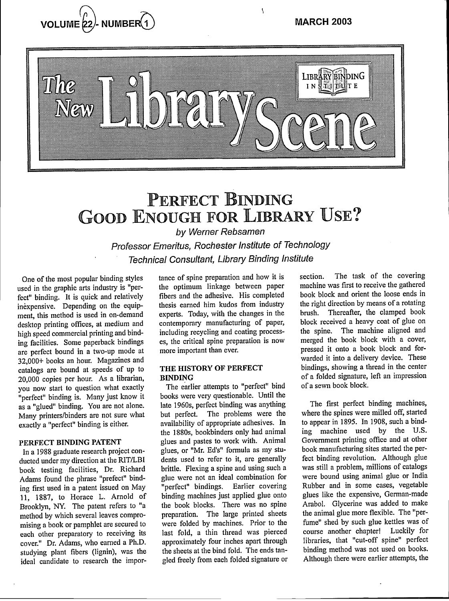$\overline{\mathbf{r}}$ 





# PERFECT BINDING GOOD ENOUGH FOR LIBRARY USE?

by Werner Rebsamen

Professor Emeritus, Rochester Institute of Technology Technical Consultant, Library Binding Institute

One of the most popular binding styles used in the graphic arts industry is "perfect" binding. It is quick and relatively inexpensive. Depending on the equipment, this method is used in on-demand desktop printing offices, at medium and high speed commercial printing and binding facilities. Some paperback bindings are perfect bound in a two-up mode at 32,000+ books an hour. Magazines and catalogs are bound at speeds of up to 20,000 copies per hour. As a librarian, you now start to question what exactly "perfect" binding is. Many just know it as a "glued" binding. You are not alone. Many printers/binders are not sure what exactly a "perfect" binding is either.

#### **PERFECT BINDING PATENT**

In a 1988 graduate research project conducted under my direction at the R1T/LBI book testing facilities, Dr. Richard Adams found the phrase "prefect" binding first used in a patent issued on May 11, 1887, to Horace L. Arnold of Brooklyn, NY. The patent refers to "a method by which several leaves compromising a book or pamphlet are secured to each other preparatory to receiving its cover." Dr. Adams, who earned a Ph.D. studying plant fibers (lignin), was the ideal candidate to research the importance of spine preparation and how it is the optimum linkage between paper fibers and the adhesive. His completed thesis earned him kudos from industry experts. Today, with the changes in the contemporary manufacturing of paper, including recycling and coating processes, the critical spine preparation is now more important than ever.

#### **THE HISTORY OF PERFECT BINDING**

The earlier attempts to "perfect" bind books were very questionable. Until the late 1960s, perfect binding was anything but perfect. The problems were the availability of appropriate adhesives. In the 1880s, bookbinders only had animal glues and pastes to work with. Animal glues, or "Mr. Ed's" formula as my students used to refer to it, are generally brittle. Flexing a spine and using such a glue were not an ideal combination for "perfect" bindings. Earlier covering binding machines just applied glue onto the book blocks. There was no spine preparation. The large printed sheets were folded by machines. Prior to the last fold, a thin thread was pierced approximately four inches apart through the sheets at the bind fold. The ends tangled freely from each folded signature or section. The task of the covering machine was first to receive the gathered book block and orient the loose ends in the right direction by means of a rotating brush. Thereafter, the clamped book block received a heavy coat of glue on the spine. The machine aligned and merged the book block with a cover, pressed it onto a book block and forwarded it into a delivery device. These bindings, showing a thread in the center of a folded signature, left an impression of a sewn book block.

The first perfect binding machines, where the spines were milled off, started to appear in 1895. In 1908, such a binding machine used by the U.S. Government printing office and at other book manufacturing sites started the perfect binding revolution. Although glue was still a problem, millions of catalogs were bound using animal glue or India Rubber and in some cases, vegetable glues like the expensive, German-made Arabol. Glycerine was added to make the animal glue more flexible. The "perfume" shed by such glue kettles was of course another chapter! Luckily for libraries, that "cut-off spine" perfect binding method was not used on books. Although there were earlier attempts, the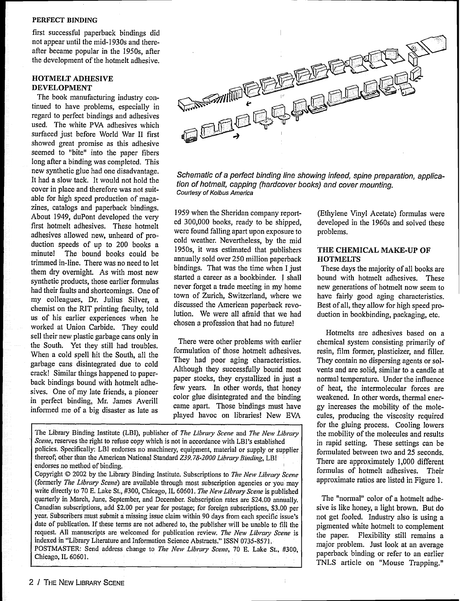#### PERFECT BINDING

first successful paperback bindings did not appear until the mid-1930s and thereafter became popular in the 1950s, after the development of the hotmelt adhesive.

#### HOTMELT ADHESIVE DEVELOPMENT

The book manufacturing industry continued to have problems, especially in regard to perfect bindings and adhesives used. The white PVA adhesives which surfaced just before World War II first showed great promise as this adhesive seemed to "bite" into the paper fibers long after a binding was completed. This new synthetic glue had one disadvantage. It had a slow tack. It would not hold the cover in place and therefore was not suitable for high speed production of magazines, catalogs and paperback bindings. About 1949, duPont developed the very first hotmelt adhesives. These hotmelt adhesives allowed new, unheard of production speeds of up to 200 books a minute! The bound books could be trimmed in-line. There was no need to let them dry overnight. As with most new synthetic products, those earlier formulas had their faults and shortcomings. One of my colleagues, Dr. Julius Silver, a chemist on the RIT printing faculty, told us of his earlier experiences when he worked at Union Carbide. They could sell their new plastic garbage cans only in the South. Yet they still had troubles. When a cold spell hit the South, all the garbage cans disintegrated due to cold crack! Similar things happened to paperback bindings bound with hotmelt adhesives. One of my late friends, a pioneer in perfect binding, Mr. James Averill informed me of a big disaster as late as



Schematic of a perfect binding line showing infeed, spine preparation, application of hotmelt, capping (hardcover books) and cover mounting. Courtesy of Kolbus America

1959 when the Sheridan company reported 300,000 books, ready to be shipped, were found falling apart upon exposure to cold weather. Nevertheless, by the mid 1950s, it was estimated that publishers annually sold over 250 million paperback bindings. That was the time when I just started a career as a bookbinder. I shall never forget a trade meeting in my home town of Zurich, Switzerland, where we discussed the American paperback revolution. We were all afraid that we had chosen a profession that had no future!

There were other problems with earlier formulation of those hotmelt adhesives. They had poor aging characteristics. Although they successfully bound most paper stocks, they crystallized in just a few years. In other words, that honey color glue disintegrated and the binding came apart. Those bindings must have played havoc on libraries! New EVA

The Library Binding Institute (LB!), publisher of *Tlte Library Scene* and *The Neiv Library Scene,* reserves the right to refuse copy which is not in accordance with LBI's established policies. Specifically- LBI endorses no machinery, equipment, material or supply or supplier thereof; other than the American National Standard *Z39.78-2000 Library Binding*, LBI endorses no method of binding.

Copyright © 2002 by the Library Binding Institute. Subscriptions to *Thte New Library Scene* (formerly *The Library Scene)* are available through most subscription agencies or you may write directly to 70 E. Lake St., #300, Chicago, IL 60601. *The Newv Library Scene* is published quarterly in March, June, September, and December. Subscription rates are \$24.00 annually. Canadian subscriptions, add \$2.00 per year for postage; for foreign subscriptions, \$3.00 per year. Subscribers must submit a missing issue claim within 90 days from each specific issue's date of publication. If these terms are not adhered to, the publisher will be unable to fill the request. All manuscripts are welcomed for publication review. The New Library Scene is indexed in "Library Literature and Information Science Abstracts." ISSN 0735-857 1.

POSTMASTER: Send address change to *The New Library Scene*, 70 E. Lake St., #300, Chicago, IL 60601.

(Ethylene Vinyl Acetate) formulas were developed in the 1960s and solved these problems.

#### **THE CHEMICAL MAKE-UP OF HOTMELTS**

These days the majority of all books are bound with hotmelt adhesives. These new generations of hotmelt now seem to have fairly good aging characteristics. Best of all, they allow for high speed production in bookbinding, packaging, etc.

Hotmelts are adhesives based on a chemical system consisting primarily of resin, film former, plasticizer, and filler. They contain no dispersing agents or solvents and are solid, similar to a candle at normal temperature. Under the influence of heat, the intermolecular forces are weakened. In other words, thermal energy increases the mobility of the molecules, producing the viscosity required for the gluing process. Cooling lowers the mobility of the molecules and results in rapid setting. These settings can be formulated between two and 25 seconds. There are approximately 1,000 different formulas of hotmelt adhesives. Their approximate ratios are listed in Figure 1.

The "normal" color of a hotmelt adhesive is like honey, a light brown. But do not get fooled. Industry also is using a pigmented white hotmelt to complement the paper. Flexibility still remains a major problem. Just look at an average paperback binding or refer to an earlier TNLS article on "Mouse Trapping."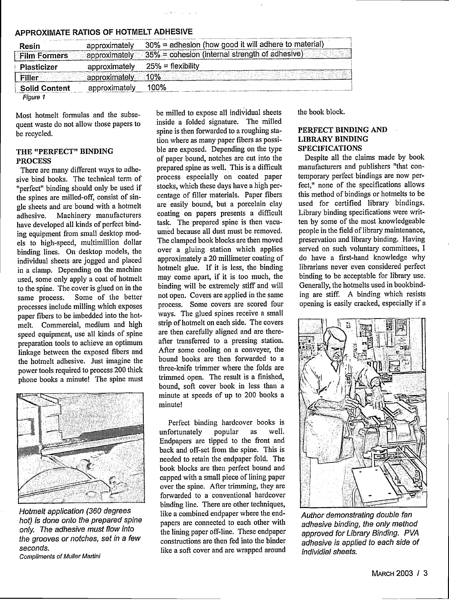| Resin<br><b>Film Formers</b> | approximately<br>approximately | 30% = adhesion (how good it will adhere to material)<br>35% = cohesion (internal strength of adhesive) |  |
|------------------------------|--------------------------------|--------------------------------------------------------------------------------------------------------|--|
| Plasticizer                  | approximately                  | $25% =$ flexibility                                                                                    |  |
| Filler                       | approximately                  | 10%                                                                                                    |  |
| <b>Solid Content</b>         | approximately                  | 100%                                                                                                   |  |
| Figure 1                     |                                |                                                                                                        |  |

#### **APPROXIMATE RATIOS OF HOTMELT ADHESIVE**

Most hotmelt formulas and the subsequent waste do not allow those papers to be recycled.

#### **THE "PERFECT" BINDING PROCESS**

There are many different ways to adhesive bind books. The technical term of "perfect" binding should only be used if the spines are milled-off, consist of single sheets and are bound with a hotmelt adhesive. Machinery manufacturers have developed all kinds of perfect binding equipment from small desktop models to high-speed, multimillion dollar binding lines. On desktop models, the individual sheets are jogged and placed in a clamp. Depending on the machine used, some only apply a coat of hotmelt to the spine. The cover is glued on in the same process. Some of the better processes include milling which exposes paper fibers to be imbedded into the hotmelt. Commercial, medium and high speed equipment, use all kinds of spine preparation tools to achieve an optimum linkage between the exposed fibers and the hotmelt adhesive. Just imagine the power tools required to process 200 thick phone books a minute! The spine must



Hotmelt application (360 degrees hot) is done onto the prepared spine only. The adhesive must flow into the grooves or notches, set in a few seconds.

Compliments of Muller Martini

be milled to expose all individual sheets inside a folded signature. The milled spine is then forwarded to a roughing station where as many paper fibers as possible are exposed. Depending on the type of paper bound, notches are cut into the prepared spine as well. This is a difficult process especially on coated paper stocks, which these days have a high percentage of filler materials. Paper fibers are easily bound, but a porcelain clay coating on papers presents a difficult task. The prepared spine is then vacuumed because all dust must be removed. The clamped book blocks are then moved over a gluing station which applies approximately a 20 millimeter coating of hotmelt glue. If it is less, the binding may come apart, if it is too much, the binding will be extremely stiff and will not open. Covers are applied in the same process. Some covers are scored four ways. The glued spines receive a small strip of hotmelt on each side. The covers are then carefully aligned and are thereafter transferred to a pressing station. After some cooling on a conveyer, the bound books are then forwarded to a three-knife trimmer where the folds are trimmed open. The result is a finished, bound, soft cover book in less than a minute at speeds of up to 200 books a minute!

Perfect binding hardcover books is<br>fortunately popular as well. unfortunately popular as Endpapers are tipped to the front and back and off-set from the spine. This is needed to retain the endpaper fold. The book blocks are then perfect bound and capped with a small piece of lining paper over the spine. After trimming, they are forwarded to a conventional hardcover binding line. There are other techniques, like a combined endpaper where the endpapers are connected to each other with the lining paper off-line. These endpaper constructions are then fed into the binder like a soft cover and are wrapped around

the book block.

### **PERFECT BINDING AND LIBRARY BINDING SPECIFICATIONS**

Despite all the claims made by book manufacturers and publishers "that contemporary perfect bindings are now perfect," none of the specifications allows this method of bindings or hotmelts to be used for certified library bindings. Library binding specifications were written by some of the most knowledgeable people in the field of library maintenance, preservation and library binding. Having served on such voluntary committees, I do have a first-hand knowledge why librarians never even considered perfect binding to be acceptable for library use. Generally, the hotmelts used in bookbinding are stiff. A binding which resists opening is easily cracked, especially if a



Author demonstrating double fan adhesive binding, the only method approved for Library Binding. PVA adhesive is applied to each side of individial sheets.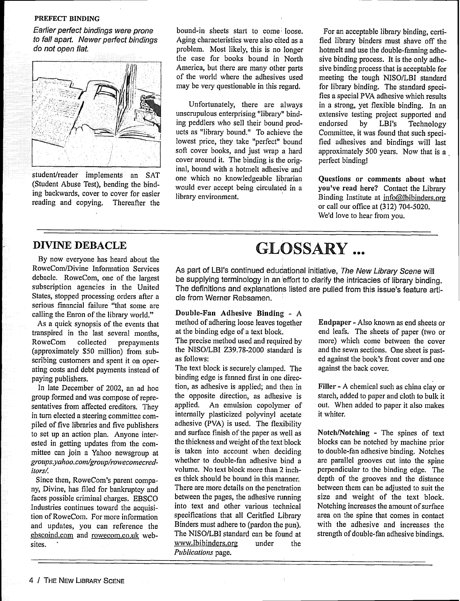#### **PREFECT** BINDING

Earlier perfect bindings were prone to fall apart. Newer perfect bindings do not open flat.



student/reader implements an SAT (Student Abuse Test), bending the binding backwards, cover to cover for easier reading and copying. Thereafter the bound-in sheets start to come loose. Aging characteristics were also cited as a problem. Most likely, this is no longer the case for books bound in North America, but there are many other parts of the world where the adhesives used may be very questionable in this regard.

Unfortunately, there are always unscrupulous enterprising "library" binding peddlers who sell their bound products as "library bound." To achieve the lowest price, they take "perfect" bound soft cover books, and just wrap a hard cover around it. The binding is the original, bound with a hotmelt adhesive and one which no knowledgeable librarian would ever accept being circulated in a library environment.

For an acceptable library binding, certified library binders must shave off the hotmelt and use the double-fanning adhesive binding process. It is the only adhesive binding process that is acceptable for meeting the tough NISO/LBI standard for library binding. The standard specifies a special PVA adhesive which results in a strong, yet flexible binding. In an extensive testing project supported and<br>endorsed by LBI's Technology Technology Committee, it was found that such specified adhesives and bindings will last approximately 500 years. Now that is a perfect binding!

**Questions or comments about** what **you've read here?** Contact the Library Binding Institute at  $info@lbibinders.org$ or call our office at (312) 704-5020. We'd love to hear from you.

## DIVINE DEBACLE

By now everyone has heard about the RoweCom/Divine Information Services debacle. RoweCom, one of the largest subscription agencies in the United States, stopped processing orders after a serious financial failure "that some are calling the Enron of the library world."

As a quick synopsis of the events that transpired in the last several months, RoweCom collected prepayments (approximately \$50 million) from subscribing customers and spent it on operating costs and debt payments instead of paying publishers.

In late December of 2002, an ad hoc group formed and was compose of representatives from affected creditors. They in turn elected a steering committee compiled of five libraries and five publishers to set up an action plan. Anyone interested in getting updates from the committee can join a Yahoo newsgroup at *groups.yahoo. coni/group/rowveconiecreditors.*

Since then, RoweCom's parent company, Divine, has filed for bankruptcy and faces possible criminal charges. EBSCO Industries continues toward the acquisition of RoweCom. For more information and updates, you can reference the ebscoind.com and rowecom.co.uk websites.

# GLOSSARY ...

As part of LBI's continued educational initiative, The New Library Scene will be supplying terminology in an effort to clarify the intricacies of library binding. The definitions and explanations listed are pulled from this issue's feature article from Werner Rebsamen.

#### **Double-Fan Adhesive Binding** - A

method of adhering loose leaves together at the binding edge of a text block. The precise method used and required by the NISO/LBI Z39.78-2000 standard is as follows:

The text block is securely clamped. The binding edge is fanned first in one direction, as adhesive is applied; and then in the opposite direction, as adhesive is applied. An emulsion copolymer of internally plasticized polyvinyl acetate adhesive (PVA) is used. The flexibility and surface finish of the paper as Well as the thickness and weight of the text block is taken into account when deciding whether to double-fan adhesive bind a volume. No text block more than 2 inches thick should be bound in this manner. There are more details on the penetration between the pages, the adhesive running into text and other various technical specifications that all Ceritfied Library Binders must adhere to (pardon the pun). The NISO/LBI standard can be found at www.lbibinders.org under the *Publications* page.

**Endpaper** - Also known as end sheets or end leafs. The sheets of paper (two or more) which come between the cover and the sewn sections. One sheet is pasted against the book's front cover and one against the back cover.

Filler - A chemical such as china clay or starch, added to paper and cloth to bulk it out. When added to paper it also makes it whiter.

**Notch/Notching** - The spines of text blocks can be notched by machine prior to double-fan adhesive binding. Notches are parallel grooves cut into the spine perpendicular to the binding edge. The depth of the grooves and the distance between them can be adjusted to suit the size and weight of the text block. Notching increases the amount of surface area on the spine that comes in contact with the adhesive and increases the strength of double-fan adhesive bindings.